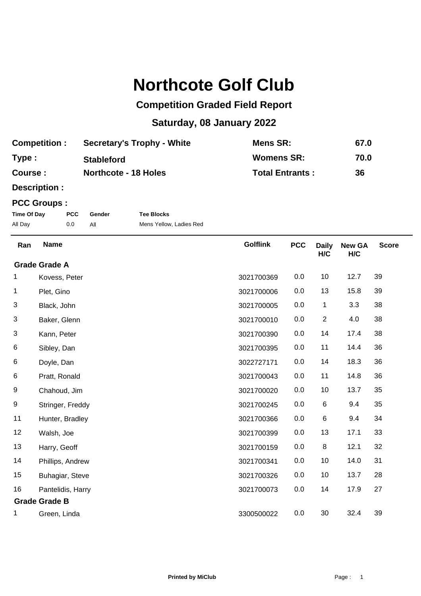## **Northcote Golf Club**

## **Competition Graded Field Report**

## **Saturday, 08 January 2022**

| <b>Competition:</b> | <b>Secretary's Trophy - White</b> | Mens SR:               | 67.0 |
|---------------------|-----------------------------------|------------------------|------|
| Type:               | <b>Stableford</b>                 | <b>Womens SR:</b>      | 70.0 |
| Course :            | <b>Northcote - 18 Holes</b>       | <b>Total Entrants:</b> | 36   |

**Description :**

## **PCC Groups :**

| Time Of Day | <b>PCC</b> | Gender | <b>Tee Blocks</b>       |
|-------------|------------|--------|-------------------------|
| All Day     | 0.0        |        | Mens Yellow, Ladies Red |

| Ran                  | <b>Name</b>          | <b>Golflink</b> | <b>PCC</b> | <b>Daily</b><br>H/C | <b>New GA</b><br>H/C | <b>Score</b> |
|----------------------|----------------------|-----------------|------------|---------------------|----------------------|--------------|
|                      | <b>Grade Grade A</b> |                 |            |                     |                      |              |
| 1                    | Kovess, Peter        | 3021700369      | 0.0        | 10                  | 12.7                 | 39           |
| 1                    | Plet, Gino           | 3021700006      | 0.0        | 13                  | 15.8                 | 39           |
| 3                    | Black, John          | 3021700005      | 0.0        | 1                   | 3.3                  | 38           |
| 3                    | Baker, Glenn         | 3021700010      | 0.0        | $\overline{2}$      | 4.0                  | 38           |
| 3                    | Kann, Peter          | 3021700390      | 0.0        | 14                  | 17.4                 | 38           |
| 6                    | Sibley, Dan          | 3021700395      | 0.0        | 11                  | 14.4                 | 36           |
| 6                    | Doyle, Dan           | 3022727171      | 0.0        | 14                  | 18.3                 | 36           |
| 6                    | Pratt, Ronald        | 3021700043      | 0.0        | 11                  | 14.8                 | 36           |
| 9                    | Chahoud, Jim         | 3021700020      | 0.0        | 10                  | 13.7                 | 35           |
| 9                    | Stringer, Freddy     | 3021700245      | 0.0        | 6                   | 9.4                  | 35           |
| 11                   | Hunter, Bradley      | 3021700366      | 0.0        | 6                   | 9.4                  | 34           |
| 12                   | Walsh, Joe           | 3021700399      | 0.0        | 13                  | 17.1                 | 33           |
| 13                   | Harry, Geoff         | 3021700159      | 0.0        | $\bf 8$             | 12.1                 | 32           |
| 14                   | Phillips, Andrew     | 3021700341      | 0.0        | 10                  | 14.0                 | 31           |
| 15                   | Buhagiar, Steve      | 3021700326      | 0.0        | 10                  | 13.7                 | 28           |
| 16                   | Pantelidis, Harry    | 3021700073      | 0.0        | 14                  | 17.9                 | 27           |
| <b>Grade Grade B</b> |                      |                 |            |                     |                      |              |
|                      | Green, Linda         | 3300500022      | 0.0        | 30                  | 32.4                 | 39           |